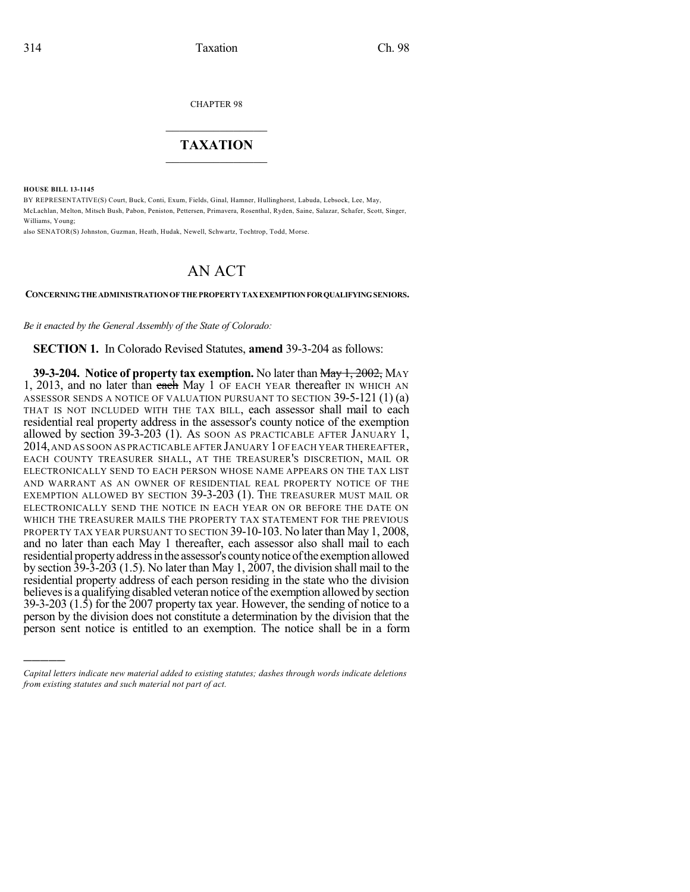CHAPTER 98

## $\overline{\phantom{a}}$  . The set of the set of the set of the set of the set of the set of the set of the set of the set of the set of the set of the set of the set of the set of the set of the set of the set of the set of the set o **TAXATION**  $\_$

**HOUSE BILL 13-1145**

)))))

BY REPRESENTATIVE(S) Court, Buck, Conti, Exum, Fields, Ginal, Hamner, Hullinghorst, Labuda, Lebsock, Lee, May, McLachlan, Melton, Mitsch Bush, Pabon, Peniston, Pettersen, Primavera, Rosenthal, Ryden, Saine, Salazar, Schafer, Scott, Singer, Williams, Young;

also SENATOR(S) Johnston, Guzman, Heath, Hudak, Newell, Schwartz, Tochtrop, Todd, Morse.

## AN ACT

**CONCERNINGTHE ADMINISTRATIONOF THE PROPERTYTAXEXEMPTIONFORQUALIFYINGSENIORS.**

*Be it enacted by the General Assembly of the State of Colorado:*

**SECTION 1.** In Colorado Revised Statutes, **amend** 39-3-204 as follows:

**39-3-204. Notice of property tax exemption.** No later than May 1, 2002, MAY 1, 2013, and no later than each May 1 OF EACH YEAR thereafter IN WHICH AN ASSESSOR SENDS A NOTICE OF VALUATION PURSUANT TO SECTION 39-5-121 (1) (a) THAT IS NOT INCLUDED WITH THE TAX BILL, each assessor shall mail to each residential real property address in the assessor's county notice of the exemption allowed by section 39-3-203 (1). AS SOON AS PRACTICABLE AFTER JANUARY 1, 2014,AND AS SOON AS PRACTICABLE AFTER JANUARY 1OF EACH YEAR THEREAFTER, EACH COUNTY TREASURER SHALL, AT THE TREASURER'S DISCRETION, MAIL OR ELECTRONICALLY SEND TO EACH PERSON WHOSE NAME APPEARS ON THE TAX LIST AND WARRANT AS AN OWNER OF RESIDENTIAL REAL PROPERTY NOTICE OF THE EXEMPTION ALLOWED BY SECTION 39-3-203 (1). THE TREASURER MUST MAIL OR ELECTRONICALLY SEND THE NOTICE IN EACH YEAR ON OR BEFORE THE DATE ON WHICH THE TREASURER MAILS THE PROPERTY TAX STATEMENT FOR THE PREVIOUS PROPERTY TAX YEAR PURSUANT TO SECTION 39-10-103. No later than May 1, 2008, and no later than each May 1 thereafter, each assessor also shall mail to each residential property address in the assessor's county notice of the exemption allowed by section 39-3-203 (1.5). No later than May 1, 2007, the division shall mail to the residential property address of each person residing in the state who the division believes is a qualifying disabled veteran notice of the exemption allowed by section 39-3-203 (1.5) for the 2007 property tax year. However, the sending of notice to a person by the division does not constitute a determination by the division that the person sent notice is entitled to an exemption. The notice shall be in a form

*Capital letters indicate new material added to existing statutes; dashes through words indicate deletions from existing statutes and such material not part of act.*